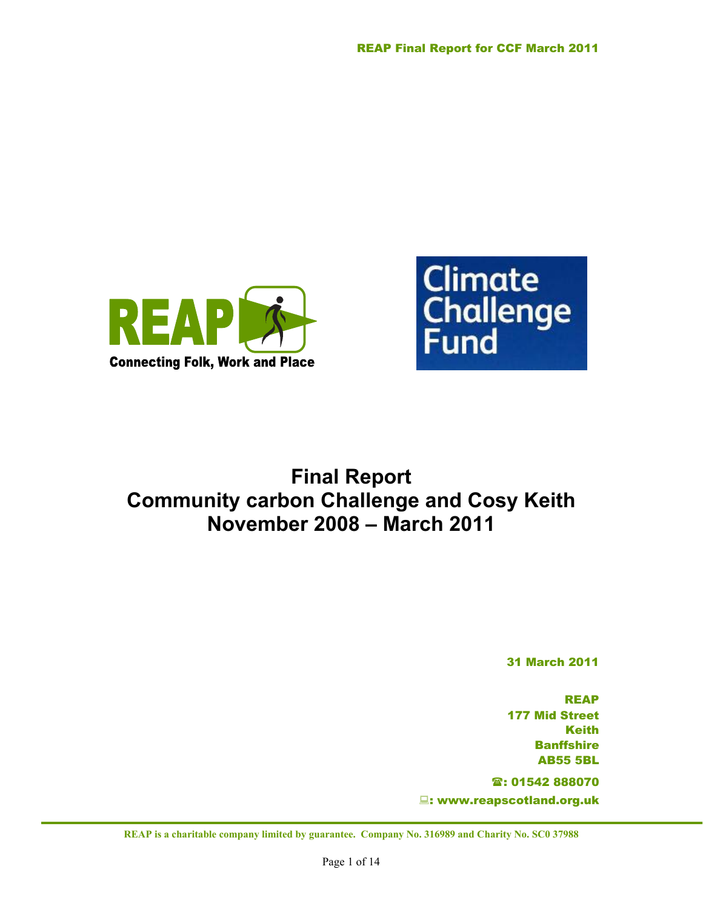



# **Final Report Community carbon Challenge and Cosy Keith November 2008 – March 2011**

31 March 2011

REAP 177 Mid Street Keith **Banffshire** AB55 5BL

: 01542 888070 : www.reapscotland.org.uk

**REAP is a charitable company limited by guarantee. Company No. 316989 and Charity No. SC0 37988**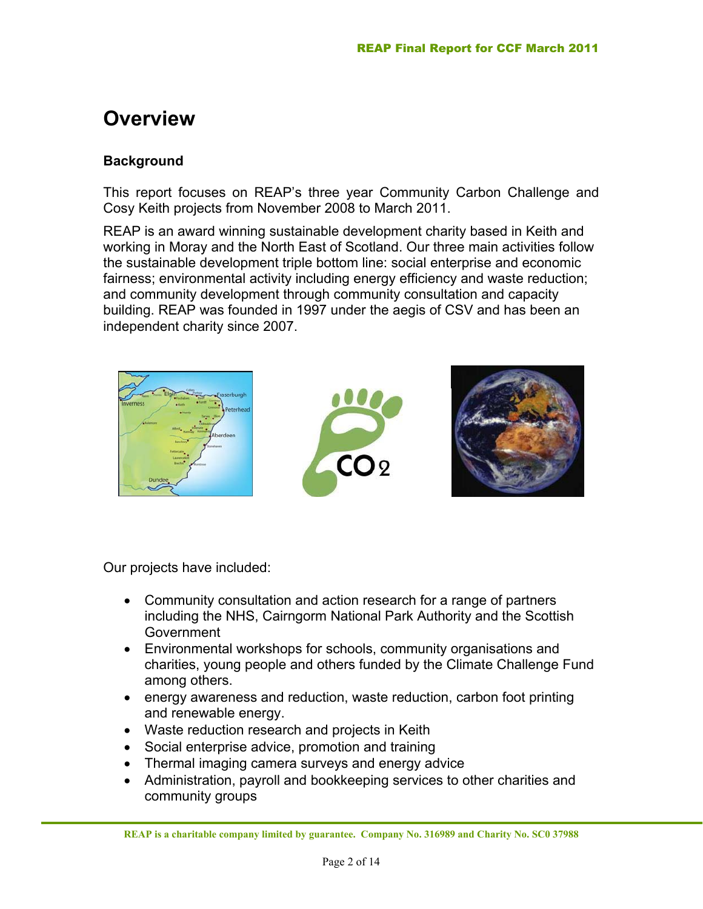## **Overview**

#### **Background**

This report focuses on REAP's three year Community Carbon Challenge and Cosy Keith projects from November 2008 to March 2011.

REAP is an award winning sustainable development charity based in Keith and working in Moray and the North East of Scotland. Our three main activities follow the sustainable development triple bottom line: social enterprise and economic fairness; environmental activity including energy efficiency and waste reduction; and community development through community consultation and capacity building. REAP was founded in 1997 under the aegis of CSV and has been an independent charity since 2007.



Our projects have included:

- Community consultation and action research for a range of partners including the NHS, Cairngorm National Park Authority and the Scottish **Government**
- Environmental workshops for schools, community organisations and charities, young people and others funded by the Climate Challenge Fund among others.
- energy awareness and reduction, waste reduction, carbon foot printing and renewable energy.
- Waste reduction research and projects in Keith
- Social enterprise advice, promotion and training
- Thermal imaging camera surveys and energy advice
- Administration, payroll and bookkeeping services to other charities and community groups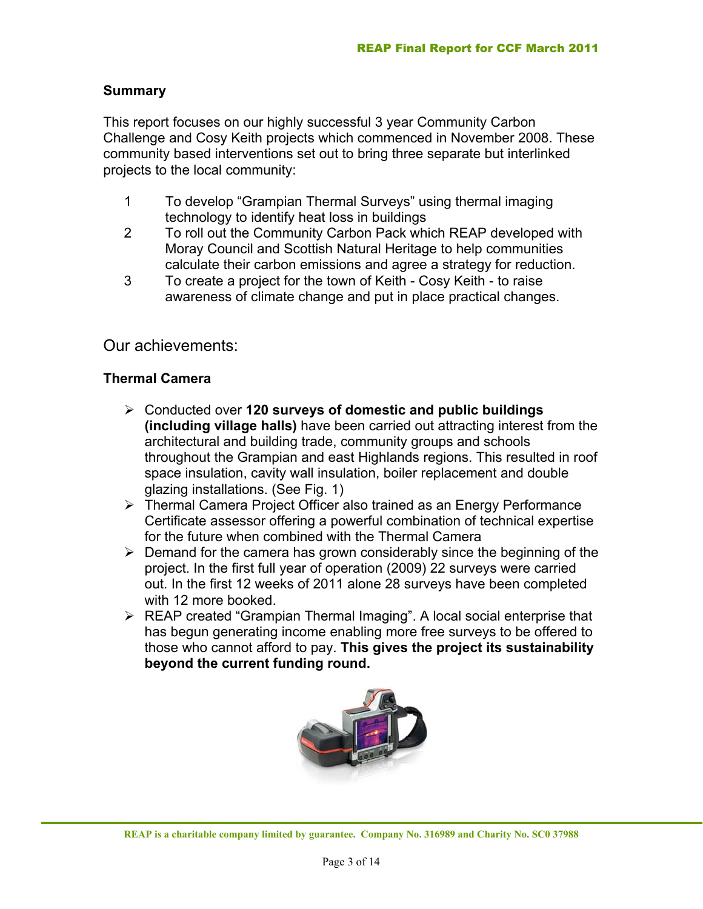#### **Summary**

This report focuses on our highly successful 3 year Community Carbon Challenge and Cosy Keith projects which commenced in November 2008. These community based interventions set out to bring three separate but interlinked projects to the local community:

- 1 To develop "Grampian Thermal Surveys" using thermal imaging technology to identify heat loss in buildings
- 2 To roll out the Community Carbon Pack which REAP developed with Moray Council and Scottish Natural Heritage to help communities calculate their carbon emissions and agree a strategy for reduction.
- 3 To create a project for the town of Keith Cosy Keith to raise awareness of climate change and put in place practical changes.

### Our achievements:

#### **Thermal Camera**

- ¾ Conducted over **120 surveys of domestic and public buildings (including village halls)** have been carried out attracting interest from the architectural and building trade, community groups and schools throughout the Grampian and east Highlands regions. This resulted in roof space insulation, cavity wall insulation, boiler replacement and double glazing installations. (See Fig. 1)
- ¾ Thermal Camera Project Officer also trained as an Energy Performance Certificate assessor offering a powerful combination of technical expertise for the future when combined with the Thermal Camera
- $\triangleright$  Demand for the camera has grown considerably since the beginning of the project. In the first full year of operation (2009) 22 surveys were carried out. In the first 12 weeks of 2011 alone 28 surveys have been completed with 12 more booked.
- $\triangleright$  REAP created "Grampian Thermal Imaging". A local social enterprise that has begun generating income enabling more free surveys to be offered to those who cannot afford to pay. **This gives the project its sustainability beyond the current funding round.**

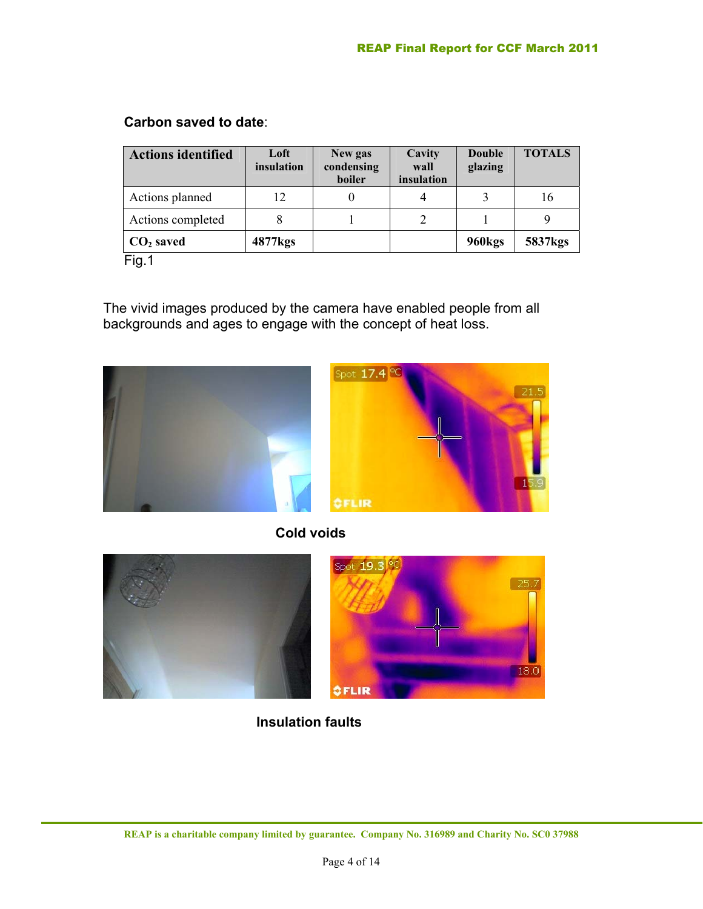#### **Carbon saved to date**:

| <b>Actions identified</b> | Loft<br>insulation  | New gas<br>condensing<br>boiler | Cavity<br>wall<br>insulation | <b>Double</b><br>glazing | <b>TOTALS</b>       |
|---------------------------|---------------------|---------------------------------|------------------------------|--------------------------|---------------------|
| Actions planned           | 12                  |                                 |                              |                          | 16                  |
| Actions completed         |                     |                                 |                              |                          |                     |
| $CO2$ saved               | 4877 <sub>kgs</sub> |                                 |                              | 960 <sub>kgs</sub>       | 5837 <sub>kgs</sub> |
| Fig.1                     |                     |                                 |                              |                          |                     |

The vivid images produced by the camera have enabled people from all backgrounds and ages to engage with the concept of heat loss.



 **Cold voids**



 **Insulation faults**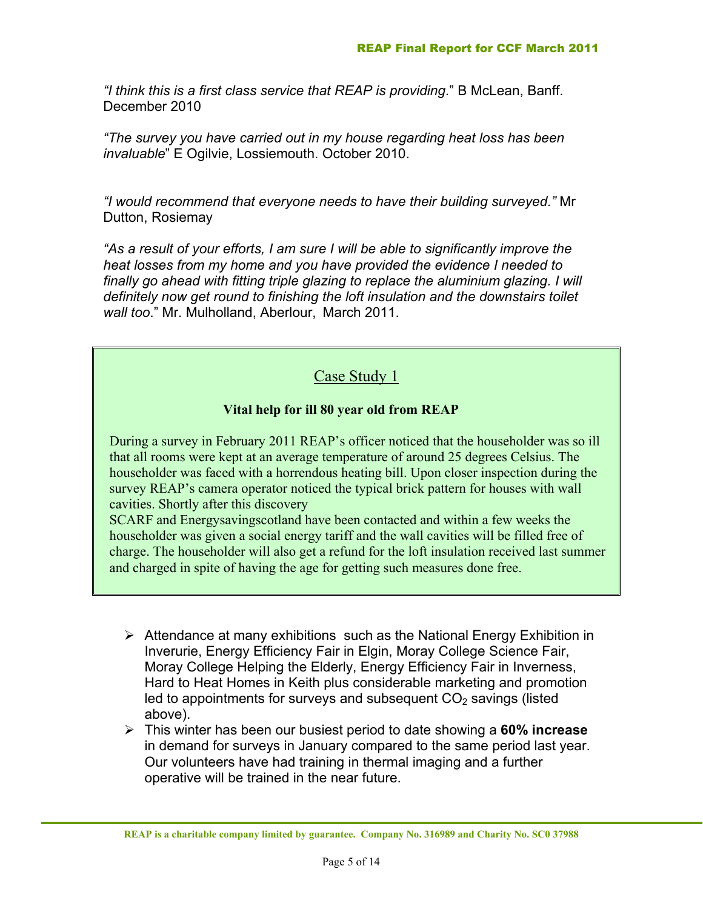*"I think this is a first class service that REAP is providing*." B McLean, Banff. December 2010

*"The survey you have carried out in my house regarding heat loss has been invaluable*" E Ogilvie, Lossiemouth. October 2010.

*"I would recommend that everyone needs to have their building surveyed."* Mr Dutton, Rosiemay

*"As a result of your efforts, I am sure I will be able to significantly improve the heat losses from my home and you have provided the evidence I needed to*  finally go ahead with fitting triple glazing to replace the aluminium glazing. I will *definitely now get round to finishing the loft insulation and the downstairs toilet wall too*." Mr. Mulholland, Aberlour, March 2011.

## Case Study 1

#### **Vital help for ill 80 year old from REAP**

During a survey in February 2011 REAP's officer noticed that the householder was so ill that all rooms were kept at an average temperature of around 25 degrees Celsius. The householder was faced with a horrendous heating bill. Upon closer inspection during the survey REAP's camera operator noticed the typical brick pattern for houses with wall cavities. Shortly after this discovery

SCARF and Energysavingscotland have been contacted and within a few weeks the householder was given a social energy tariff and the wall cavities will be filled free of charge. The householder will also get a refund for the loft insulation received last summer and charged in spite of having the age for getting such measures done free.

- $\triangleright$  Attendance at many exhibitions such as the National Energy Exhibition in Inverurie, Energy Efficiency Fair in Elgin, Moray College Science Fair, Moray College Helping the Elderly, Energy Efficiency Fair in Inverness, Hard to Heat Homes in Keith plus considerable marketing and promotion led to appointments for surveys and subsequent  $CO<sub>2</sub>$  savings (listed above).
- ¾ This winter has been our busiest period to date showing a **60% increase** in demand for surveys in January compared to the same period last year. Our volunteers have had training in thermal imaging and a further operative will be trained in the near future.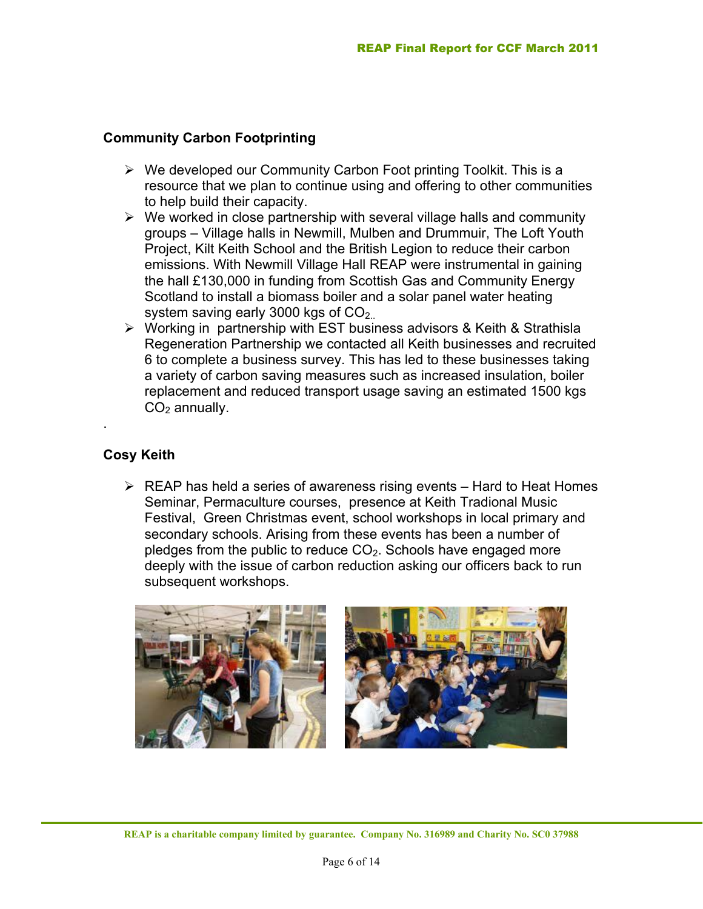#### **Community Carbon Footprinting**

- $\triangleright$  We developed our Community Carbon Foot printing Toolkit. This is a resource that we plan to continue using and offering to other communities to help build their capacity.
- $\triangleright$  We worked in close partnership with several village halls and community groups – Village halls in Newmill, Mulben and Drummuir, The Loft Youth Project, Kilt Keith School and the British Legion to reduce their carbon emissions. With Newmill Village Hall REAP were instrumental in gaining the hall £130,000 in funding from Scottish Gas and Community Energy Scotland to install a biomass boiler and a solar panel water heating system saving early 3000 kgs of  $CO<sub>2</sub>$ .
- ¾ Working in partnership with EST business advisors & Keith & Strathisla Regeneration Partnership we contacted all Keith businesses and recruited 6 to complete a business survey. This has led to these businesses taking a variety of carbon saving measures such as increased insulation, boiler replacement and reduced transport usage saving an estimated 1500 kgs  $CO<sub>2</sub>$  annually.

#### **Cosy Keith**

.

 $\triangleright$  REAP has held a series of awareness rising events – Hard to Heat Homes Seminar, Permaculture courses, presence at Keith Tradional Music Festival, Green Christmas event, school workshops in local primary and secondary schools. Arising from these events has been a number of pledges from the public to reduce  $CO<sub>2</sub>$ . Schools have engaged more deeply with the issue of carbon reduction asking our officers back to run subsequent workshops.

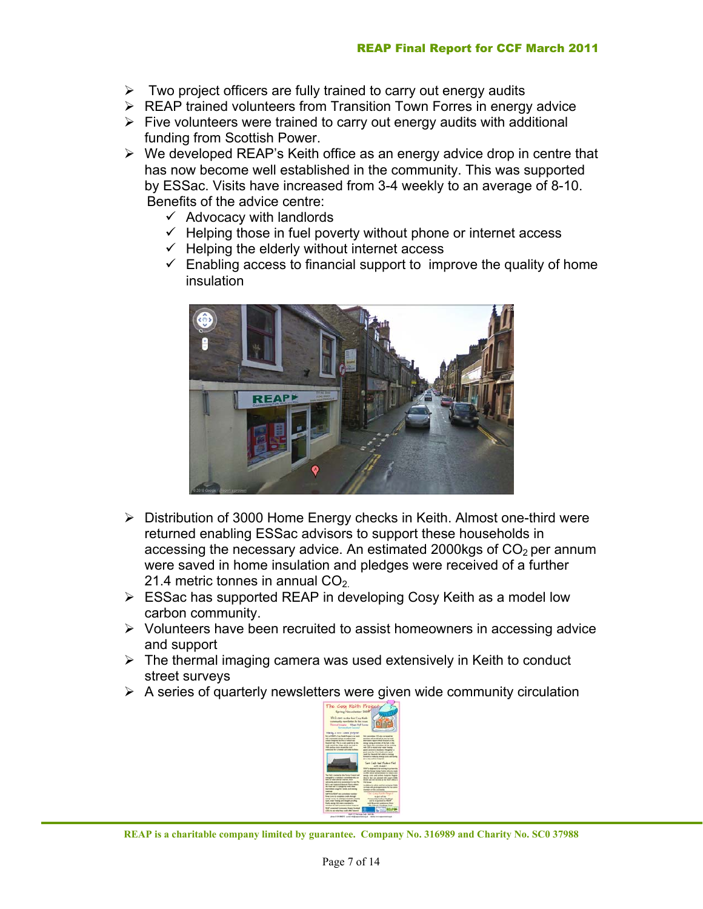- $\triangleright$  Two project officers are fully trained to carry out energy audits
- ¾ REAP trained volunteers from Transition Town Forres in energy advice
- $\triangleright$  Five volunteers were trained to carry out energy audits with additional funding from Scottish Power.
- $\triangleright$  We developed REAP's Keith office as an energy advice drop in centre that has now become well established in the community. This was supported by ESSac. Visits have increased from 3-4 weekly to an average of 8-10. Benefits of the advice centre:
	- $\checkmark$  Advocacy with landlords
	- $\checkmark$  Helping those in fuel poverty without phone or internet access
	- $\checkmark$  Helping the elderly without internet access
	- $\checkmark$  Enabling access to financial support to improve the quality of home insulation



- ¾ Distribution of 3000 Home Energy checks in Keith. Almost one-third were returned enabling ESSac advisors to support these households in accessing the necessary advice. An estimated 2000kgs of  $CO<sub>2</sub>$  per annum were saved in home insulation and pledges were received of a further 21.4 metric tonnes in annual  $CO<sub>2</sub>$ .
- $\triangleright$  ESSac has supported REAP in developing Cosy Keith as a model low carbon community.
- $\triangleright$  Volunteers have been recruited to assist homeowners in accessing advice and support
- $\triangleright$  The thermal imaging camera was used extensively in Keith to conduct street surveys
- $\triangleright$  A series of quarterly newsletters were given wide community circulation

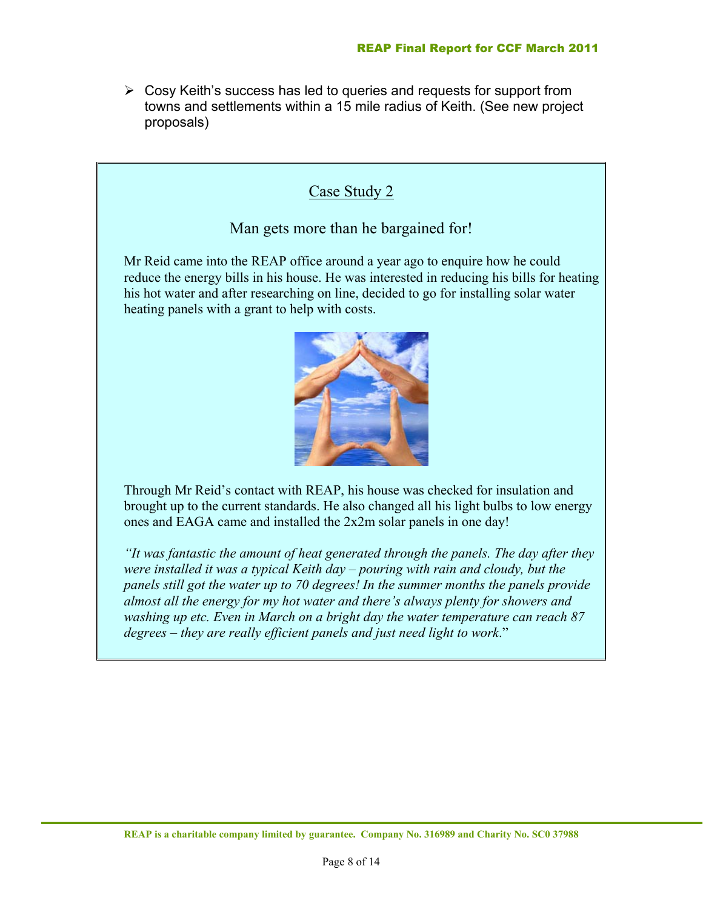$\triangleright$  Cosy Keith's success has led to queries and requests for support from towns and settlements within a 15 mile radius of Keith. (See new project proposals)

## Case Study 2

#### Man gets more than he bargained for!

Mr Reid came into the REAP office around a year ago to enquire how he could reduce the energy bills in his house. He was interested in reducing his bills for heating his hot water and after researching on line, decided to go for installing solar water heating panels with a grant to help with costs.



Through Mr Reid's contact with REAP, his house was checked for insulation and brought up to the current standards. He also changed all his light bulbs to low energy ones and EAGA came and installed the 2x2m solar panels in one day!

*"It was fantastic the amount of heat generated through the panels. The day after they were installed it was a typical Keith day – pouring with rain and cloudy, but the panels still got the water up to 70 degrees! In the summer months the panels provide almost all the energy for my hot water and there's always plenty for showers and washing up etc. Even in March on a bright day the water temperature can reach 87 degrees – they are really efficient panels and just need light to work*."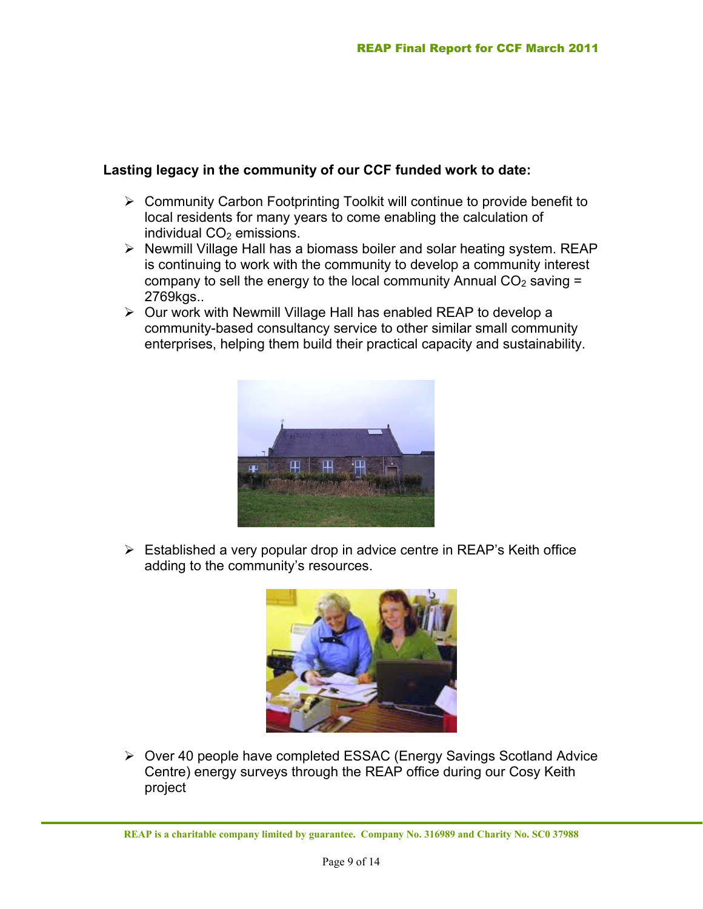#### **Lasting legacy in the community of our CCF funded work to date:**

- $\triangleright$  Community Carbon Footprinting Toolkit will continue to provide benefit to local residents for many years to come enabling the calculation of individual  $CO<sub>2</sub>$  emissions.
- ¾ Newmill Village Hall has a biomass boiler and solar heating system. REAP is continuing to work with the community to develop a community interest company to sell the energy to the local community Annual  $CO<sub>2</sub>$  saving  $=$ 2769kgs..
- ¾ Our work with Newmill Village Hall has enabled REAP to develop a community-based consultancy service to other similar small community enterprises, helping them build their practical capacity and sustainability.



 $\triangleright$  Established a very popular drop in advice centre in REAP's Keith office adding to the community's resources.



¾ Over 40 people have completed ESSAC (Energy Savings Scotland Advice Centre) energy surveys through the REAP office during our Cosy Keith project

**REAP is a charitable company limited by guarantee. Company No. 316989 and Charity No. SC0 37988**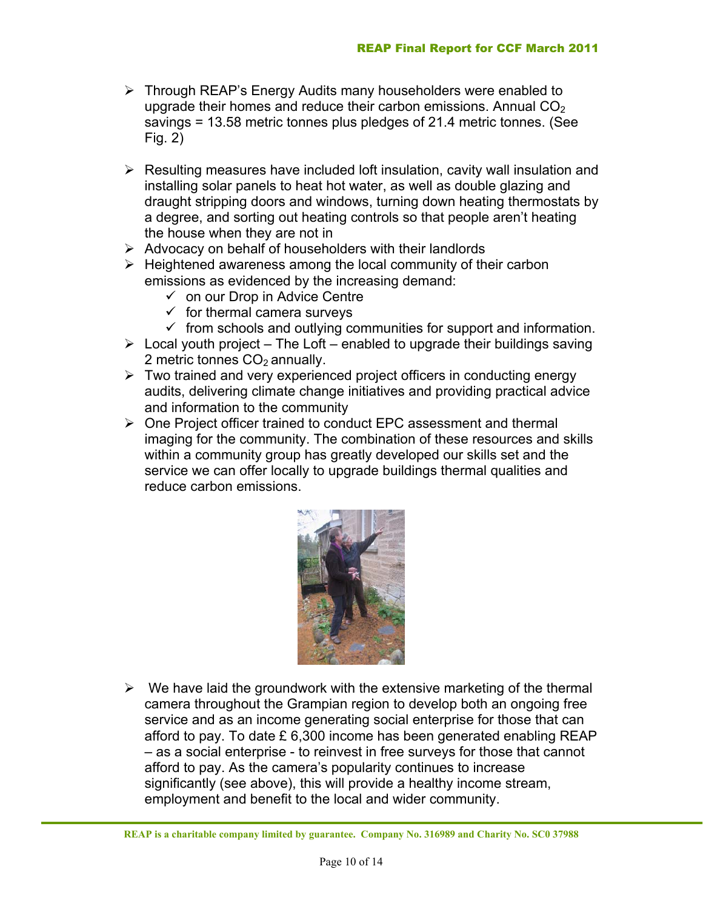- ¾ Through REAP's Energy Audits many householders were enabled to upgrade their homes and reduce their carbon emissions. Annual  $CO<sub>2</sub>$ savings = 13.58 metric tonnes plus pledges of 21.4 metric tonnes. (See Fig. 2)
- $\triangleright$  Resulting measures have included loft insulation, cavity wall insulation and installing solar panels to heat hot water, as well as double glazing and draught stripping doors and windows, turning down heating thermostats by a degree, and sorting out heating controls so that people aren't heating the house when they are not in
- $\triangleright$  Advocacy on behalf of householders with their landlords
- $\triangleright$  Heightened awareness among the local community of their carbon emissions as evidenced by the increasing demand:
	- $\checkmark$  on our Drop in Advice Centre
	- $\checkmark$  for thermal camera surveys
	- $\checkmark$  from schools and outlying communities for support and information.
- $\triangleright$  Local youth project The Loft enabled to upgrade their buildings saving 2 metric tonnes  $CO<sub>2</sub>$  annually.
- $\triangleright$  Two trained and very experienced project officers in conducting energy audits, delivering climate change initiatives and providing practical advice and information to the community
- ¾ One Project officer trained to conduct EPC assessment and thermal imaging for the community. The combination of these resources and skills within a community group has greatly developed our skills set and the service we can offer locally to upgrade buildings thermal qualities and reduce carbon emissions.



 $\triangleright$  We have laid the groundwork with the extensive marketing of the thermal camera throughout the Grampian region to develop both an ongoing free service and as an income generating social enterprise for those that can afford to pay. To date £ 6,300 income has been generated enabling REAP – as a social enterprise - to reinvest in free surveys for those that cannot afford to pay. As the camera's popularity continues to increase significantly (see above), this will provide a healthy income stream, employment and benefit to the local and wider community.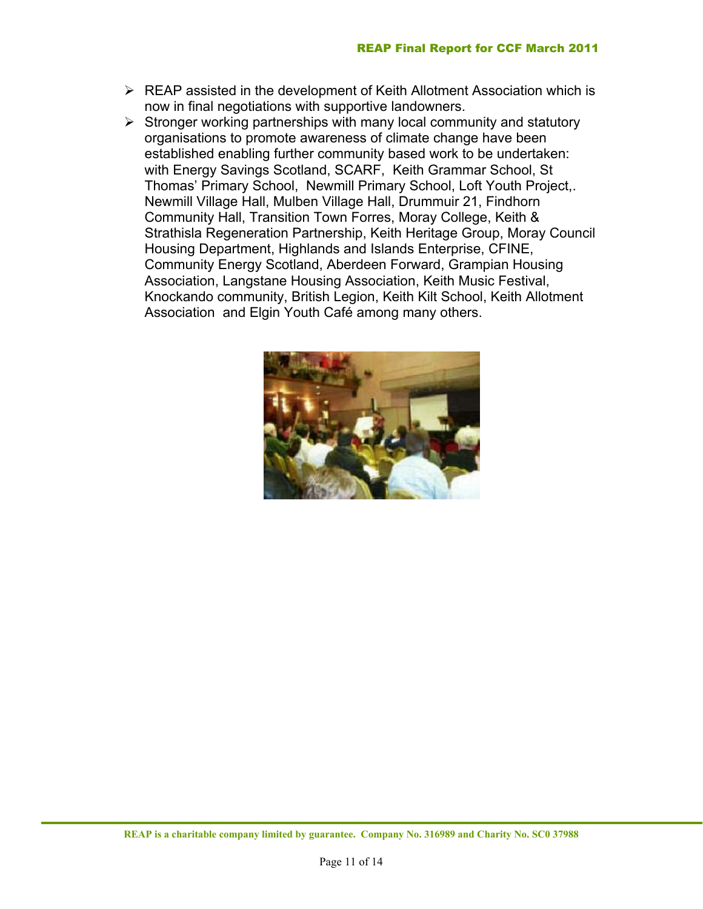- $\triangleright$  REAP assisted in the development of Keith Allotment Association which is now in final negotiations with supportive landowners.
- $\triangleright$  Stronger working partnerships with many local community and statutory organisations to promote awareness of climate change have been established enabling further community based work to be undertaken: with Energy Savings Scotland, SCARF, Keith Grammar School, St Thomas' Primary School, Newmill Primary School, Loft Youth Project,. Newmill Village Hall, Mulben Village Hall, Drummuir 21, Findhorn Community Hall, Transition Town Forres, Moray College, Keith & Strathisla Regeneration Partnership, Keith Heritage Group, Moray Council Housing Department, Highlands and Islands Enterprise, CFINE, Community Energy Scotland, Aberdeen Forward, Grampian Housing Association, Langstane Housing Association, Keith Music Festival, Knockando community, British Legion, Keith Kilt School, Keith Allotment Association and Elgin Youth Café among many others.

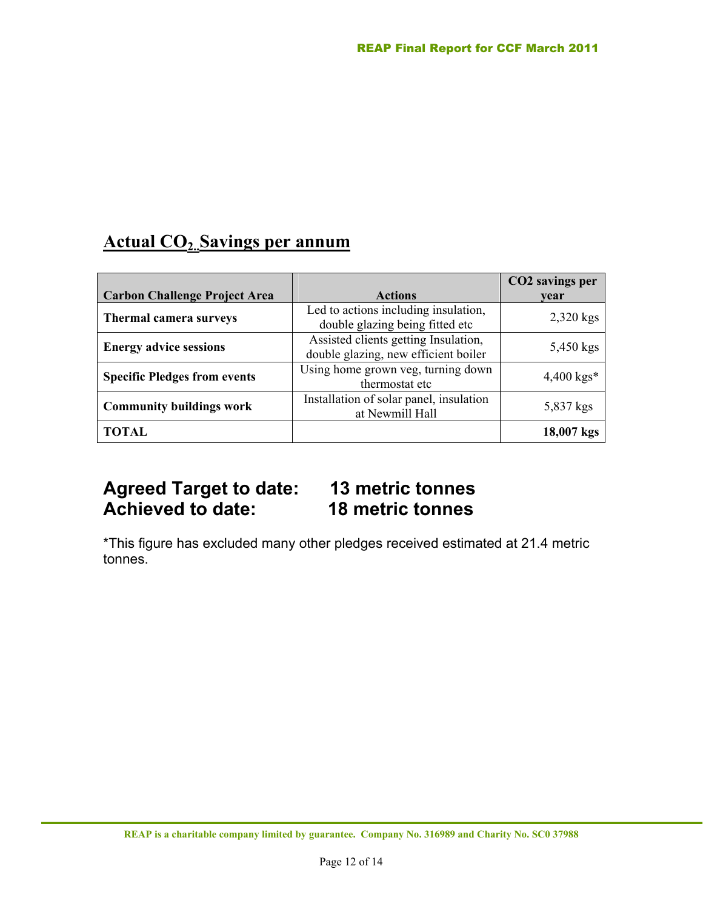## **Actual CO2..Savings per annum**

|                                      |                                                                              | CO2 savings per |
|--------------------------------------|------------------------------------------------------------------------------|-----------------|
| <b>Carbon Challenge Project Area</b> | <b>Actions</b>                                                               | vear            |
| Thermal camera surveys               | Led to actions including insulation,<br>double glazing being fitted etc      | 2,320 kgs       |
| <b>Energy advice sessions</b>        | Assisted clients getting Insulation,<br>double glazing, new efficient boiler | 5,450 kgs       |
| <b>Specific Pledges from events</b>  | Using home grown veg, turning down<br>thermostat etc                         | $4,400$ kgs*    |
| <b>Community buildings work</b>      | Installation of solar panel, insulation<br>at Newmill Hall                   | 5,837 kgs       |
| <b>TOTAL</b>                         |                                                                              | $18,007$ kgs    |

## **Agreed Target to date: 13 metric tonnes 18 metric tonnes**

\*This figure has excluded many other pledges received estimated at 21.4 metric tonnes.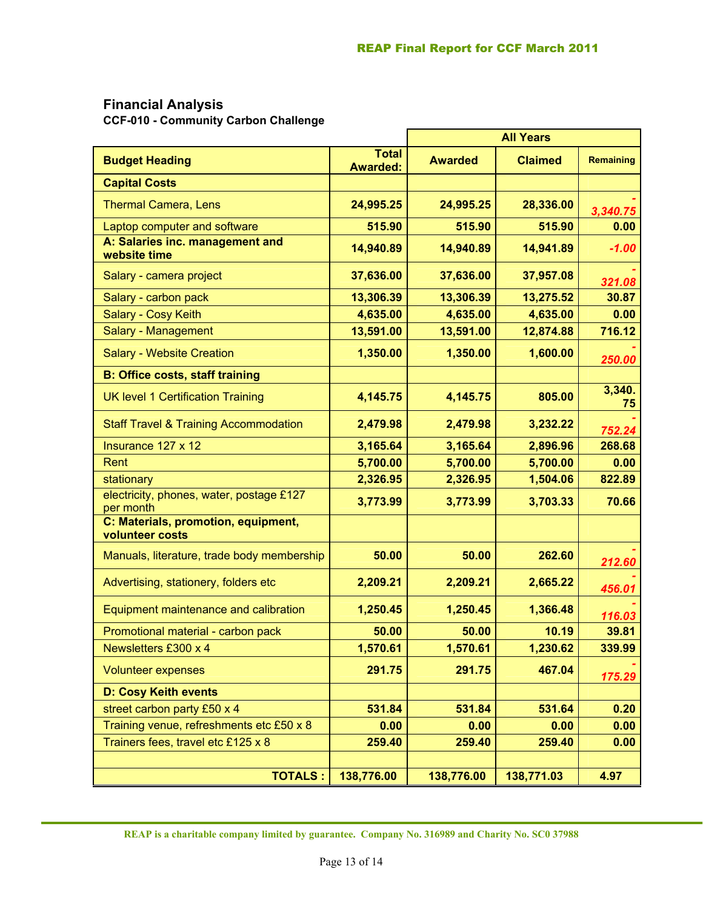### **Financial Analysis**

**CCF-010 - Community Carbon Challenge** 

|                                                        |                                 | <b>All Years</b> |                |              |
|--------------------------------------------------------|---------------------------------|------------------|----------------|--------------|
| <b>Budget Heading</b>                                  | <b>Total</b><br><b>Awarded:</b> | <b>Awarded</b>   | <b>Claimed</b> | Remaining    |
| <b>Capital Costs</b>                                   |                                 |                  |                |              |
| <b>Thermal Camera, Lens</b>                            | 24,995.25                       | 24,995.25        | 28,336.00      | 3,340.75     |
| Laptop computer and software                           | 515.90                          | 515.90           | 515.90         | 0.00         |
| A: Salaries inc. management and<br>website time        | 14,940.89                       | 14,940.89        | 14,941.89      | $-1.00$      |
| Salary - camera project                                | 37,636.00                       | 37,636.00        | 37,957.08      | 321.08       |
| Salary - carbon pack                                   | 13,306.39                       | 13,306.39        | 13,275.52      | 30.87        |
| Salary - Cosy Keith                                    | 4,635.00                        | 4,635.00         | 4,635.00       | 0.00         |
| Salary - Management                                    | 13,591.00                       | 13,591.00        | 12,874.88      | 716.12       |
| <b>Salary - Website Creation</b>                       | 1,350.00                        | 1,350.00         | 1,600.00       | 250.00       |
| <b>B: Office costs, staff training</b>                 |                                 |                  |                |              |
| <b>UK level 1 Certification Training</b>               | 4,145.75                        | 4,145.75         | 805.00         | 3,340.<br>75 |
| <b>Staff Travel &amp; Training Accommodation</b>       | 2,479.98                        | 2,479.98         | 3,232.22       | 752.24       |
| Insurance 127 x 12                                     | 3,165.64                        | 3,165.64         | 2,896.96       | 268.68       |
| Rent                                                   | 5,700.00                        | 5,700.00         | 5,700.00       | 0.00         |
| stationary                                             | 2,326.95                        | 2,326.95         | 1,504.06       | 822.89       |
| electricity, phones, water, postage £127<br>per month  | 3,773.99                        | 3,773.99         | 3,703.33       | 70.66        |
| C: Materials, promotion, equipment,<br>volunteer costs |                                 |                  |                |              |
| Manuals, literature, trade body membership             | 50.00                           | 50.00            | 262.60         | 212.60       |
| Advertising, stationery, folders etc                   | 2,209.21                        | 2,209.21         | 2,665.22       | 456.01       |
| Equipment maintenance and calibration                  | 1,250.45                        | 1,250.45         | 1,366.48       | 116.03       |
| Promotional material - carbon pack                     | 50.00                           | 50.00            | 10.19          | 39.81        |
| Newsletters £300 x 4                                   | 1,570.61                        | 1,570.61         | 1,230.62       | 339.99       |
| <b>Volunteer expenses</b>                              | 291.75                          | 291.75           | 467.04         | 175.29       |
| <b>D: Cosy Keith events</b>                            |                                 |                  |                |              |
| street carbon party £50 x 4                            | 531.84                          | 531.84           | 531.64         | 0.20         |
| Training venue, refreshments etc £50 x 8               | 0.00                            | 0.00             | 0.00           | 0.00         |
| Trainers fees, travel etc £125 x 8                     | 259.40                          | 259.40           | 259.40         | 0.00         |
|                                                        |                                 |                  |                |              |
| <b>TOTALS:</b>                                         | 138,776.00                      | 138,776.00       | 138,771.03     | 4.97         |